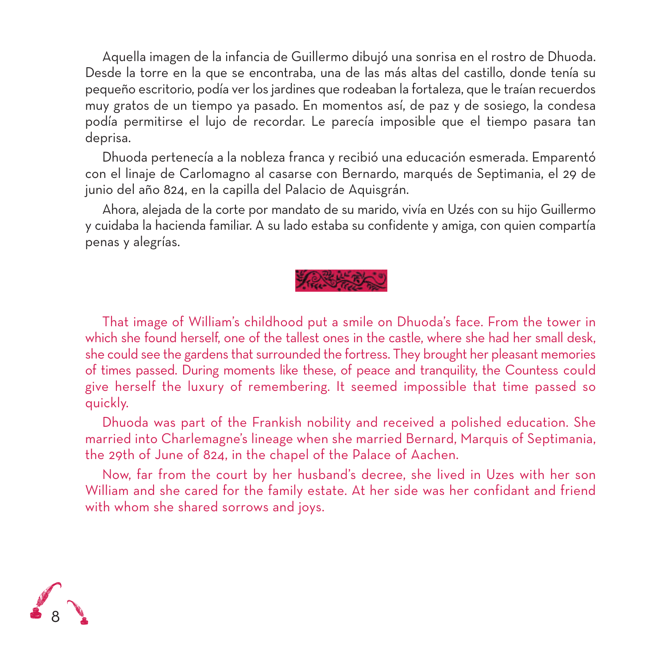Aquella imagen de la infancia de Guillermo dibujó una sonrisa en el rostro de Dhuoda. Desde la torre en la que se encontraba, una de las más altas del castillo, donde tenía su pequeño escritorio, podía ver los jardines que rodeaban la fortaleza, que le traían recuerdos muy gratos de un tiempo ya pasado. En momentos así, de paz y de sosiego, la condesa podía permitirse el lujo de recordar. Le parecía imposible que el tiempo pasara tan deprisa.

Dhuoda pertenecía a la nobleza franca y recibió una educación esmerada. Emparentó con el linaje de Carlomagno al casarse con Bernardo, marqués de Septimania, el 29 de junio del año 824, en la capilla del Palacio de Aquisgrán.

Ahora, alejada de la corte por mandato de su marido, vivía en Uzés con su hijo Guillermo y cuidaba la hacienda familiar. A su lado estaba su confidente y amiga, con quien compartía penas y alegrías.



That image of William's childhood put a smile on Dhuoda's face. From the tower in which she found herself, one of the tallest ones in the castle, where she had her small desk, she could see the gardens that surrounded the fortress. They brought her pleasant memories of times passed. During moments like these, of peace and tranquility, the Countess could give herself the luxury of remembering. It seemed impossible that time passed so quickly.

Dhuoda was part of the Frankish nobility and received a polished education. She married into Charlemagne's lineage when she married Bernard, Marquis of Septimania, the 29th of June of 824, in the chapel of the Palace of Aachen.

Now, far from the court by her husband's decree, she lived in Uzes with her son William and she cared for the family estate. At her side was her confidant and friend with whom she shared sorrows and joys.

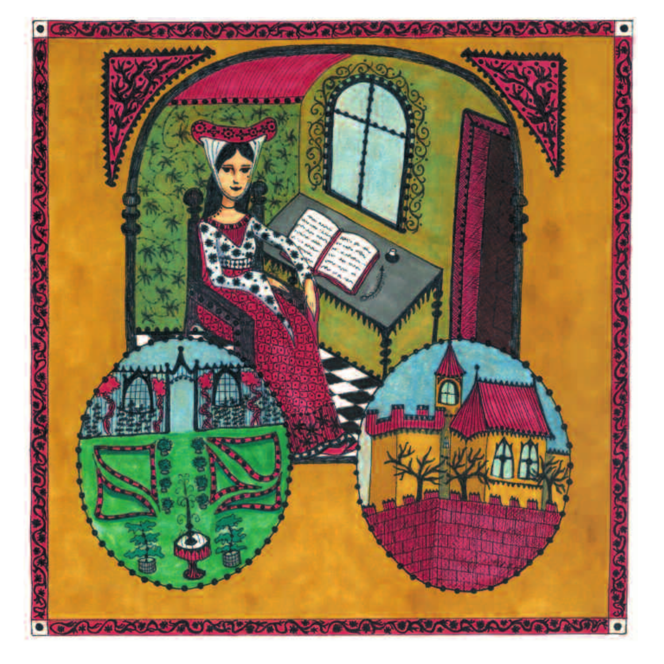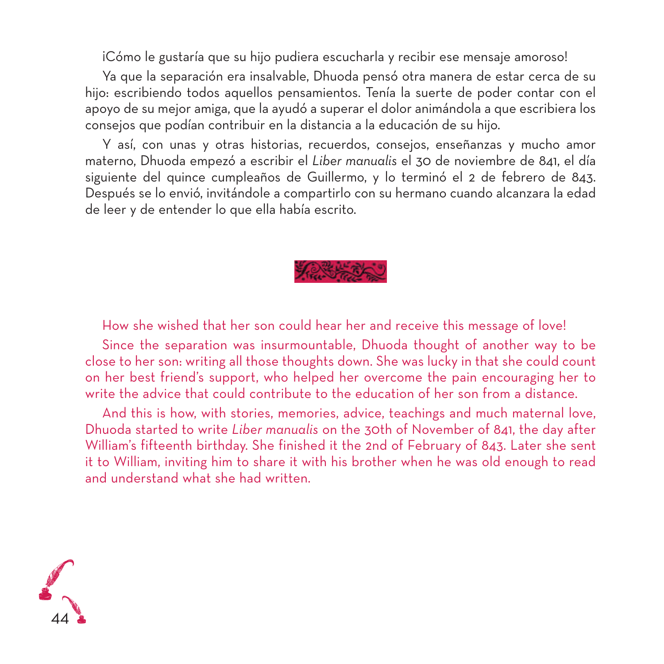iCómo le gustaría que su hijo pudiera escucharla y recibir ese mensaje amoroso!

Ya que la separación era insalvable, Dhuoda pensó otra manera de estar cerca de su hijo: escribiendo todos aquellos pensamientos. Tenía la suerte de poder contar con el apoyo de su mejor amiga, que la ayudó a superar el dolor animándola a que escribiera los consejos que podían contribuir en la distancia a la educación de su hijo.

Y así, con unas y otras historias, recuerdos, consejos, enseñanzas y mucho amor materno, Dhuoda empezó a escribir el *Liber manualis* el 30 de noviembre de 841, el día siguiente del quince cumpleaños de Guillermo, y lo terminó el 2 de febrero de 843. Después se lo envió, invitándole a compartirlo con su hermano cuando alcanzara la edad de leer y de entender lo que ella había escrito.



How she wished that her son could hear her and receive this message of love! Since the separation was insurmountable, Dhuoda thought of another way to be close to her son: writing all those thoughts down. She was lucky in that she could count on her best friend's support, who helped her overcome the pain encouraging her to write the advice that could contribute to the education of her son from a distance.

And this is how, with stories, memories, advice, teachings and much maternal love, Dhuoda started to write *Liber manualis* on the 30th of November of 841, the day after William's fifteenth birthday. She finished it the 2nd of February of 843. Later she sent it to William, inviting him to share it with his brother when he was old enough to read and understand what she had written.